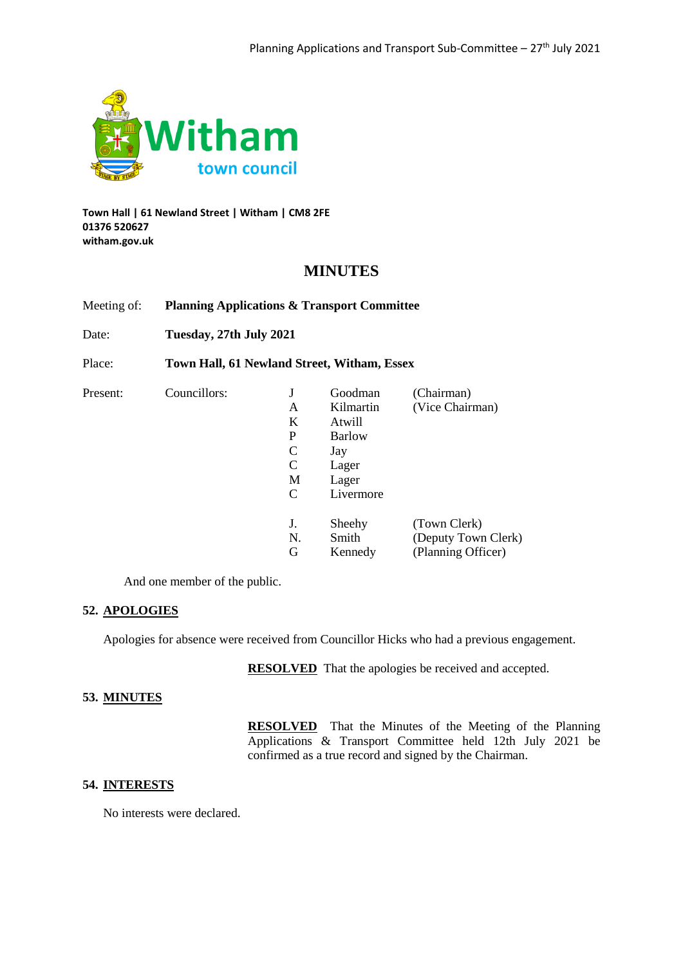

**Town Hall | 61 Newland Street | Witham | CM8 2FE 01376 520627 witham.gov.uk**

# **MINUTES**

Meeting of: **Planning Applications & Transport Committee**

Date: **Tuesday, 27th July 2021**

Place: **Town Hall, 61 Newland Street, Witham, Essex**

| Present: | Councillors: |    | Goodman       | (Chairman)          |
|----------|--------------|----|---------------|---------------------|
|          |              | A  | Kilmartin     | (Vice Chairman)     |
|          |              | K  | Atwill        |                     |
|          |              | P  | <b>Barlow</b> |                     |
|          |              | C  | Jay           |                     |
|          |              | C  | Lager         |                     |
|          |              | M  | Lager         |                     |
|          |              | C  | Livermore     |                     |
|          |              | J. | Sheehy        | (Town Clerk)        |
|          |              | N. | Smith         | (Deputy Town Clerk) |
|          |              | G  | Kennedy       | (Planning Officer)  |

And one member of the public.

## **52. APOLOGIES**

Apologies for absence were received from Councillor Hicks who had a previous engagement.

**RESOLVED** That the apologies be received and accepted.

## **53. MINUTES**

**RESOLVED** That the Minutes of the Meeting of the Planning Applications & Transport Committee held 12th July 2021 be confirmed as a true record and signed by the Chairman.

## **54. INTERESTS**

No interests were declared.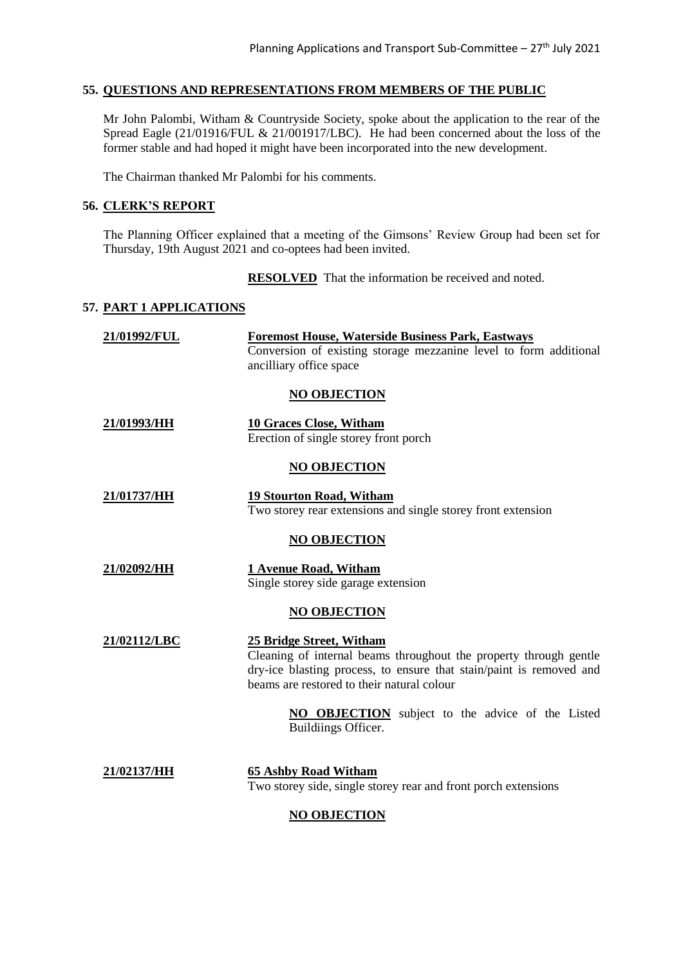## **55. QUESTIONS AND REPRESENTATIONS FROM MEMBERS OF THE PUBLIC**

Mr John Palombi, Witham & Countryside Society, spoke about the application to the rear of the Spread Eagle (21/01916/FUL & 21/001917/LBC). He had been concerned about the loss of the former stable and had hoped it might have been incorporated into the new development.

The Chairman thanked Mr Palombi for his comments.

## **56. CLERK'S REPORT**

The Planning Officer explained that a meeting of the Gimsons' Review Group had been set for Thursday, 19th August 2021 and co-optees had been invited.

**RESOLVED** That the information be received and noted.

## **57. PART 1 APPLICATIONS**

| <b>Foremost House, Waterside Business Park, Eastways</b><br>21/01992/FUL |                                                                                                                                                                                                                            |
|--------------------------------------------------------------------------|----------------------------------------------------------------------------------------------------------------------------------------------------------------------------------------------------------------------------|
|                                                                          | Conversion of existing storage mezzanine level to form additional<br>ancilliary office space                                                                                                                               |
|                                                                          | <b>NO OBJECTION</b>                                                                                                                                                                                                        |
| 21/01993/HH                                                              | <b>10 Graces Close, Witham</b><br>Erection of single storey front porch                                                                                                                                                    |
|                                                                          | <b>NO OBJECTION</b>                                                                                                                                                                                                        |
| 21/01737/HH                                                              | <b>19 Stourton Road, Witham</b><br>Two storey rear extensions and single storey front extension                                                                                                                            |
|                                                                          | NO OBJECTION                                                                                                                                                                                                               |
| 21/02092/HH                                                              | 1 Avenue Road, Witham<br>Single storey side garage extension                                                                                                                                                               |
|                                                                          | <b>NO OBJECTION</b>                                                                                                                                                                                                        |
| 21/02112/LBC                                                             | <u> 25 Bridge Street, Witham</u><br>Cleaning of internal beams throughout the property through gentle<br>dry-ice blasting process, to ensure that stain/paint is removed and<br>beams are restored to their natural colour |
|                                                                          | <b>NO OBJECTION</b> subject to the advice of the Listed<br>Buildiings Officer.                                                                                                                                             |
| 21/02137/HH                                                              | <b>65 Ashby Road Witham</b><br>Two storey side, single storey rear and front porch extensions                                                                                                                              |

## **NO OBJECTION**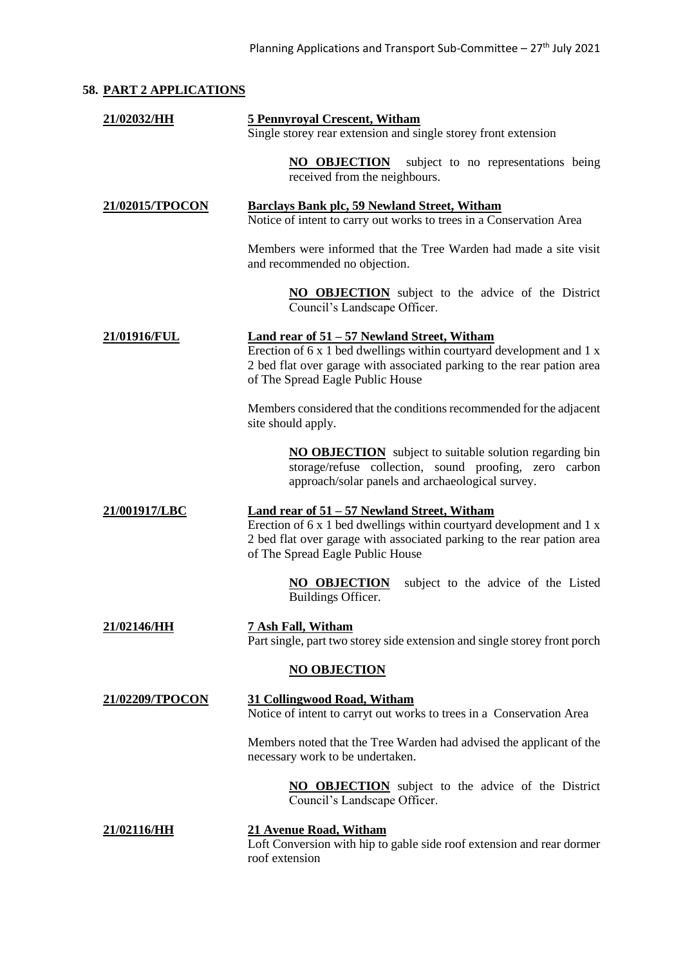# **58. PART 2 APPLICATIONS**

| 21/02032/HH     | <b>5 Pennyroyal Crescent, Witham</b><br>Single storey rear extension and single storey front extension                                                                                                                                     |  |  |
|-----------------|--------------------------------------------------------------------------------------------------------------------------------------------------------------------------------------------------------------------------------------------|--|--|
|                 | NO OBJECTION<br>subject to no representations being<br>received from the neighbours.                                                                                                                                                       |  |  |
| 21/02015/TPOCON | <b>Barclays Bank plc, 59 Newland Street, Witham</b><br>Notice of intent to carry out works to trees in a Conservation Area                                                                                                                 |  |  |
|                 | Members were informed that the Tree Warden had made a site visit<br>and recommended no objection.                                                                                                                                          |  |  |
|                 | <b>NO OBJECTION</b> subject to the advice of the District<br>Council's Landscape Officer.                                                                                                                                                  |  |  |
| 21/01916/FUL    | <u>Land rear of 51 – 57 Newland Street, Witham</u><br>Erection of 6 x 1 bed dwellings within courtyard development and 1 x<br>2 bed flat over garage with associated parking to the rear pation area<br>of The Spread Eagle Public House   |  |  |
|                 | Members considered that the conditions recommended for the adjacent<br>site should apply.                                                                                                                                                  |  |  |
|                 | <b>NO OBJECTION</b> subject to suitable solution regarding bin<br>storage/refuse collection, sound proofing, zero carbon<br>approach/solar panels and archaeological survey.                                                               |  |  |
| 21/001917/LBC   | <b>Land rear of 51 - 57 Newland Street, Witham</b><br>Erection of $6x1$ bed dwellings within courty and development and $1x$<br>2 bed flat over garage with associated parking to the rear pation area<br>of The Spread Eagle Public House |  |  |
|                 | subject to the advice of the Listed<br><b>NO OBJECTION</b><br>Buildings Officer.                                                                                                                                                           |  |  |
| 21/02146/HH     | 7 Ash Fall, Witham<br>Part single, part two storey side extension and single storey front porch                                                                                                                                            |  |  |
|                 | <b>NO OBJECTION</b>                                                                                                                                                                                                                        |  |  |
| 21/02209/TPOCON | 31 Collingwood Road, Witham<br>Notice of intent to carryt out works to trees in a Conservation Area                                                                                                                                        |  |  |
|                 | Members noted that the Tree Warden had advised the applicant of the<br>necessary work to be undertaken.                                                                                                                                    |  |  |
|                 | <b>NO OBJECTION</b> subject to the advice of the District<br>Council's Landscape Officer.                                                                                                                                                  |  |  |
| 21/02116/HH     | <b>21 Avenue Road, Witham</b><br>Loft Conversion with hip to gable side roof extension and rear dormer<br>roof extension                                                                                                                   |  |  |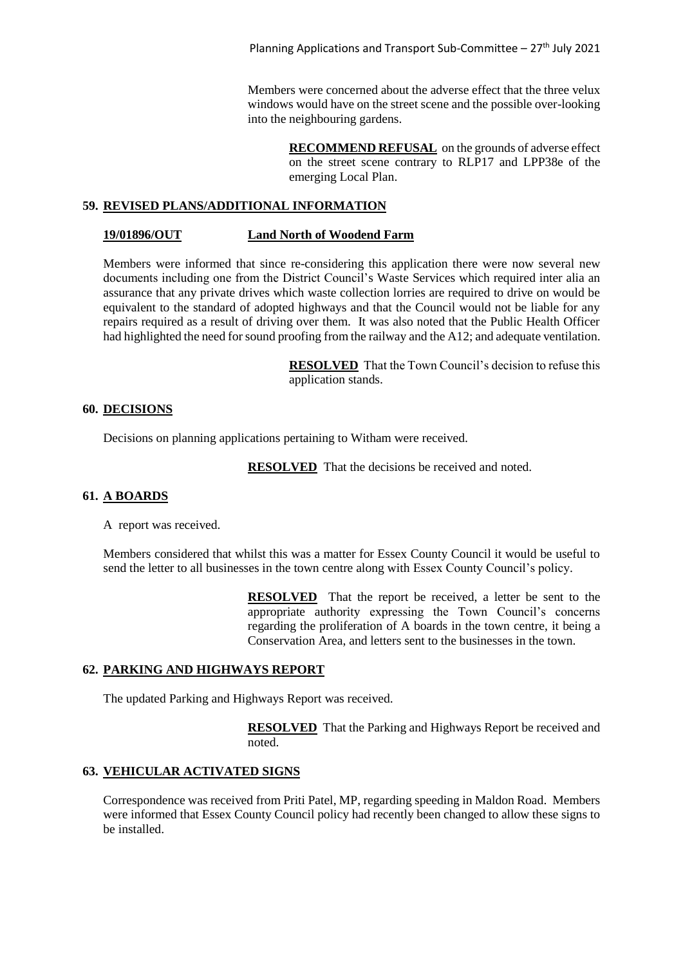Members were concerned about the adverse effect that the three velux windows would have on the street scene and the possible over-looking into the neighbouring gardens.

> **RECOMMEND REFUSAL** on the grounds of adverse effect on the street scene contrary to RLP17 and LPP38e of the emerging Local Plan.

## **59. REVISED PLANS/ADDITIONAL INFORMATION**

#### **19/01896/OUT Land North of Woodend Farm**

Members were informed that since re-considering this application there were now several new documents including one from the District Council's Waste Services which required inter alia an assurance that any private drives which waste collection lorries are required to drive on would be equivalent to the standard of adopted highways and that the Council would not be liable for any repairs required as a result of driving over them. It was also noted that the Public Health Officer had highlighted the need for sound proofing from the railway and the A12; and adequate ventilation.

> **RESOLVED** That the Town Council's decision to refuse this application stands.

#### **60. DECISIONS**

Decisions on planning applications pertaining to Witham were received.

**RESOLVED** That the decisions be received and noted.

## **61. A BOARDS**

A report was received.

Members considered that whilst this was a matter for Essex County Council it would be useful to send the letter to all businesses in the town centre along with Essex County Council's policy.

> **RESOLVED** That the report be received, a letter be sent to the appropriate authority expressing the Town Council's concerns regarding the proliferation of A boards in the town centre, it being a Conservation Area, and letters sent to the businesses in the town.

## **62. PARKING AND HIGHWAYS REPORT**

The updated Parking and Highways Report was received.

**RESOLVED** That the Parking and Highways Report be received and noted.

## **63. VEHICULAR ACTIVATED SIGNS**

Correspondence was received from Priti Patel, MP, regarding speeding in Maldon Road. Members were informed that Essex County Council policy had recently been changed to allow these signs to be installed.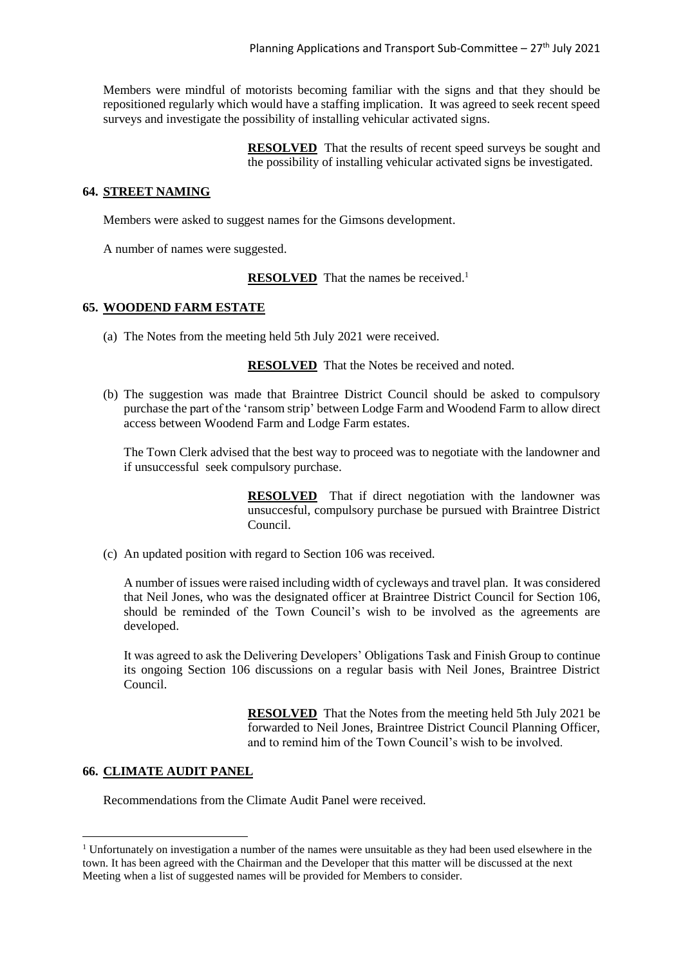Members were mindful of motorists becoming familiar with the signs and that they should be repositioned regularly which would have a staffing implication. It was agreed to seek recent speed surveys and investigate the possibility of installing vehicular activated signs.

> **RESOLVED** That the results of recent speed surveys be sought and the possibility of installing vehicular activated signs be investigated.

## **64. STREET NAMING**

Members were asked to suggest names for the Gimsons development.

A number of names were suggested.

**RESOLVED** That the names be received.<sup>1</sup>

## **65. WOODEND FARM ESTATE**

(a) The Notes from the meeting held 5th July 2021 were received.

**RESOLVED** That the Notes be received and noted.

(b) The suggestion was made that Braintree District Council should be asked to compulsory purchase the part of the 'ransom strip' between Lodge Farm and Woodend Farm to allow direct access between Woodend Farm and Lodge Farm estates.

The Town Clerk advised that the best way to proceed was to negotiate with the landowner and if unsuccessful seek compulsory purchase.

> **RESOLVED** That if direct negotiation with the landowner was unsuccesful, compulsory purchase be pursued with Braintree District Council.

(c) An updated position with regard to Section 106 was received.

A number of issues were raised including width of cycleways and travel plan. It was considered that Neil Jones, who was the designated officer at Braintree District Council for Section 106, should be reminded of the Town Council's wish to be involved as the agreements are developed.

It was agreed to ask the Delivering Developers' Obligations Task and Finish Group to continue its ongoing Section 106 discussions on a regular basis with Neil Jones, Braintree District Council.

> **RESOLVED** That the Notes from the meeting held 5th July 2021 be forwarded to Neil Jones, Braintree District Council Planning Officer, and to remind him of the Town Council's wish to be involved.

## **66. CLIMATE AUDIT PANEL**

 $\overline{\phantom{a}}$ 

Recommendations from the Climate Audit Panel were received.

<sup>&</sup>lt;sup>1</sup> Unfortunately on investigation a number of the names were unsuitable as they had been used elsewhere in the town. It has been agreed with the Chairman and the Developer that this matter will be discussed at the next Meeting when a list of suggested names will be provided for Members to consider.